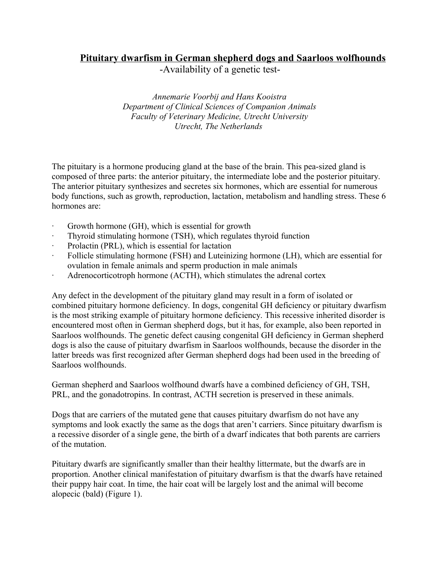## **Pituitary dwarfism in German shepherd dogs and Saarloos wolfhounds**

-Availability of a genetic test-

*Annemarie Voorbij and Hans Kooistra Department of Clinical Sciences of Companion Animals Faculty of Veterinary Medicine, Utrecht University Utrecht, The Netherlands* 

The pituitary is a hormone producing gland at the base of the brain. This pea-sized gland is composed of three parts: the anterior pituitary, the intermediate lobe and the posterior pituitary. The anterior pituitary synthesizes and secretes six hormones, which are essential for numerous body functions, such as growth, reproduction, lactation, metabolism and handling stress. These 6 hormones are:

- Growth hormone (GH), which is essential for growth
- Thyroid stimulating hormone (TSH), which regulates thyroid function
- Prolactin (PRL), which is essential for lactation
- · Follicle stimulating hormone (FSH) and Luteinizing hormone (LH), which are essential for ovulation in female animals and sperm production in male animals
- · Adrenocorticotroph hormone (ACTH), which stimulates the adrenal cortex

Any defect in the development of the pituitary gland may result in a form of isolated or combined pituitary hormone deficiency. In dogs, congenital GH deficiency or pituitary dwarfism is the most striking example of pituitary hormone deficiency. This recessive inherited disorder is encountered most often in German shepherd dogs, but it has, for example, also been reported in Saarloos wolfhounds. The genetic defect causing congenital GH deficiency in German shepherd dogs is also the cause of pituitary dwarfism in Saarloos wolfhounds, because the disorder in the latter breeds was first recognized after German shepherd dogs had been used in the breeding of Saarloos wolfhounds.

German shepherd and Saarloos wolfhound dwarfs have a combined deficiency of GH, TSH, PRL, and the gonadotropins. In contrast, ACTH secretion is preserved in these animals.

Dogs that are carriers of the mutated gene that causes pituitary dwarfism do not have any symptoms and look exactly the same as the dogs that aren't carriers. Since pituitary dwarfism is a recessive disorder of a single gene, the birth of a dwarf indicates that both parents are carriers of the mutation.

Pituitary dwarfs are significantly smaller than their healthy littermate, but the dwarfs are in proportion. Another clinical manifestation of pituitary dwarfism is that the dwarfs have retained their puppy hair coat. In time, the hair coat will be largely lost and the animal will become alopecic (bald) (Figure 1).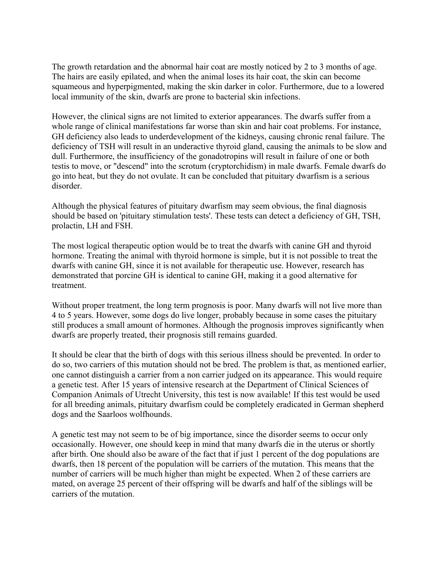The growth retardation and the abnormal hair coat are mostly noticed by 2 to 3 months of age. The hairs are easily epilated, and when the animal loses its hair coat, the skin can become squameous and hyperpigmented, making the skin darker in color. Furthermore, due to a lowered local immunity of the skin, dwarfs are prone to bacterial skin infections.

However, the clinical signs are not limited to exterior appearances. The dwarfs suffer from a whole range of clinical manifestations far worse than skin and hair coat problems. For instance, GH deficiency also leads to underdevelopment of the kidneys, causing chronic renal failure. The deficiency of TSH will result in an underactive thyroid gland, causing the animals to be slow and dull. Furthermore, the insufficiency of the gonadotropins will result in failure of one or both testis to move, or "descend" into the scrotum (cryptorchidism) in male dwarfs. Female dwarfs do go into heat, but they do not ovulate. It can be concluded that pituitary dwarfism is a serious disorder.

Although the physical features of pituitary dwarfism may seem obvious, the final diagnosis should be based on 'pituitary stimulation tests'. These tests can detect a deficiency of GH, TSH, prolactin, LH and FSH.

The most logical therapeutic option would be to treat the dwarfs with canine GH and thyroid hormone. Treating the animal with thyroid hormone is simple, but it is not possible to treat the dwarfs with canine GH, since it is not available for therapeutic use. However, research has demonstrated that porcine GH is identical to canine GH, making it a good alternative for treatment.

Without proper treatment, the long term prognosis is poor. Many dwarfs will not live more than 4 to 5 years. However, some dogs do live longer, probably because in some cases the pituitary still produces a small amount of hormones. Although the prognosis improves significantly when dwarfs are properly treated, their prognosis still remains guarded.

It should be clear that the birth of dogs with this serious illness should be prevented. In order to do so, two carriers of this mutation should not be bred. The problem is that, as mentioned earlier, one cannot distinguish a carrier from a non carrier judged on its appearance. This would require a genetic test. After 15 years of intensive research at the Department of Clinical Sciences of Companion Animals of Utrecht University, this test is now available! If this test would be used for all breeding animals, pituitary dwarfism could be completely eradicated in German shepherd dogs and the Saarloos wolfhounds.

A genetic test may not seem to be of big importance, since the disorder seems to occur only occasionally. However, one should keep in mind that many dwarfs die in the uterus or shortly after birth. One should also be aware of the fact that if just 1 percent of the dog populations are dwarfs, then 18 percent of the population will be carriers of the mutation. This means that the number of carriers will be much higher than might be expected. When 2 of these carriers are mated, on average 25 percent of their offspring will be dwarfs and half of the siblings will be carriers of the mutation.